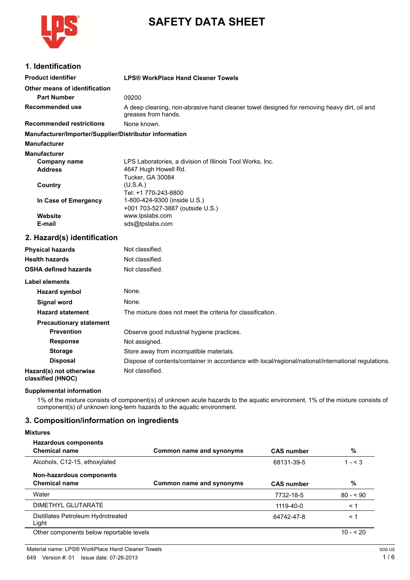

# **SAFETY DATA SHEET**

## **1. Identification**

| <b>Product identifier</b>                              | <b>LPS® WorkPlace Hand Cleaner Towels</b>                                                                         |
|--------------------------------------------------------|-------------------------------------------------------------------------------------------------------------------|
| Other means of identification                          |                                                                                                                   |
| <b>Part Number</b>                                     | 09200                                                                                                             |
| <b>Recommended use</b>                                 | A deep cleaning, non-abrasive hand cleaner towel designed for removing heavy dirt, oil and<br>greases from hands. |
| <b>Recommended restrictions</b>                        | None known.                                                                                                       |
| Manufacturer/Importer/Supplier/Distributor information |                                                                                                                   |
| <b>Manufacturer</b>                                    |                                                                                                                   |
| <b>Manufacturer</b>                                    |                                                                                                                   |
| <b>Company name</b>                                    | LPS Laboratories, a division of Illinois Tool Works, Inc.                                                         |
| <b>Address</b>                                         | 4647 Hugh Howell Rd.                                                                                              |
| Country                                                | Tucker, GA 30084<br>(U.S.A.)                                                                                      |
|                                                        | Tel: +1 770-243-8800                                                                                              |
| In Case of Emergency                                   | 1-800-424-9300 (inside U.S.)                                                                                      |
|                                                        | +001 703-527-3887 (outside U.S.)                                                                                  |
| Website<br>E-mail                                      | www.lpslabs.com<br>sds@lpslabs.com                                                                                |
|                                                        |                                                                                                                   |
| 2. Hazard(s) identification                            |                                                                                                                   |
| <b>Physical hazards</b>                                | Not classified.                                                                                                   |
| <b>Health hazards</b>                                  | Not classified.                                                                                                   |
| <b>OSHA defined hazards</b>                            | Not classified.                                                                                                   |
| Label elements                                         |                                                                                                                   |
| <b>Hazard symbol</b>                                   | None.                                                                                                             |
| <b>Signal word</b>                                     | None.                                                                                                             |
| <b>Hazard statement</b>                                | The mixture does not meet the criteria for classification.                                                        |
| <b>Precautionary statement</b>                         |                                                                                                                   |
| <b>Prevention</b>                                      | Observe good industrial hygiene practices.                                                                        |
| <b>Response</b>                                        | Not assigned.                                                                                                     |
| <b>Storage</b>                                         | Store away from incompatible materials.                                                                           |
| <b>Disposal</b>                                        | Dispose of contents/container in accordance with local/regional/national/international regulations.               |
| Hazard(s) not otherwise<br>classified (HNOC)           | Not classified.                                                                                                   |

### **Supplemental information**

1% of the mixture consists of component(s) of unknown acute hazards to the aquatic environment. 1% of the mixture consists of component(s) of unknown long-term hazards to the aquatic environment.

## **3. Composition/information on ingredients**

### **Mixtures**

| <b>Hazardous components</b><br><b>Chemical name</b> | Common name and synonyms | <b>CAS number</b> | %          |
|-----------------------------------------------------|--------------------------|-------------------|------------|
| Alcohols, C12-15, ethoxylated                       |                          | 68131-39-5        | $1 - 3$    |
| Non-hazardous components<br><b>Chemical name</b>    | Common name and synonyms | <b>CAS number</b> | %          |
| Water                                               |                          | 7732-18-5         | $80 - 90$  |
| DIMETHYL GLUTARATE                                  |                          | 1119-40-0         | $\leq 1$   |
| Distillates Petroleum Hydrotreated<br>Light         |                          | 64742-47-8        | $\leq 1$   |
| Other components below reportable levels            |                          |                   | $10 - 520$ |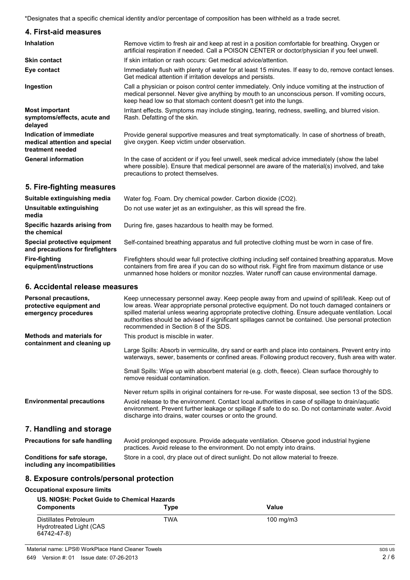\*Designates that a specific chemical identity and/or percentage of composition has been withheld as a trade secret.

| 4. First-aid measures                                                        |                                                                                                                                                                                                                                                                         |
|------------------------------------------------------------------------------|-------------------------------------------------------------------------------------------------------------------------------------------------------------------------------------------------------------------------------------------------------------------------|
| <b>Inhalation</b>                                                            | Remove victim to fresh air and keep at rest in a position comfortable for breathing. Oxygen or<br>artificial respiration if needed. Call a POISON CENTER or doctor/physician if you feel unwell.                                                                        |
| <b>Skin contact</b>                                                          | If skin irritation or rash occurs: Get medical advice/attention.                                                                                                                                                                                                        |
| Eye contact                                                                  | Immediately flush with plenty of water for at least 15 minutes. If easy to do, remove contact lenses.<br>Get medical attention if irritation develops and persists.                                                                                                     |
| Ingestion                                                                    | Call a physician or poison control center immediately. Only induce vomiting at the instruction of<br>medical personnel. Never give anything by mouth to an unconscious person. If vomiting occurs,<br>keep head low so that stomach content doesn't get into the lungs. |
| <b>Most important</b><br>symptoms/effects, acute and<br>delayed              | Irritant effects. Symptoms may include stinging, tearing, redness, swelling, and blurred vision.<br>Rash. Defatting of the skin.                                                                                                                                        |
| Indication of immediate<br>medical attention and special<br>treatment needed | Provide general supportive measures and treat symptomatically. In case of shortness of breath,<br>give oxygen. Keep victim under observation.                                                                                                                           |
| <b>General information</b>                                                   | In the case of accident or if you feel unwell, seek medical advice immediately (show the label<br>where possible). Ensure that medical personnel are aware of the material(s) involved, and take<br>precautions to protect themselves.                                  |

## **5. Fire-fighting measures**

| Suitable extinguishing media                                     | Water fog. Foam. Dry chemical powder. Carbon dioxide (CO2).                                                                                                                                                                                                                                        |
|------------------------------------------------------------------|----------------------------------------------------------------------------------------------------------------------------------------------------------------------------------------------------------------------------------------------------------------------------------------------------|
| <b>Unsuitable extinguishing</b><br>media                         | Do not use water jet as an extinguisher, as this will spread the fire.                                                                                                                                                                                                                             |
| Specific hazards arising from<br>the chemical                    | During fire, gases hazardous to health may be formed.                                                                                                                                                                                                                                              |
| Special protective equipment<br>and precautions for firefighters | Self-contained breathing apparatus and full protective clothing must be worn in case of fire.                                                                                                                                                                                                      |
| <b>Fire-fighting</b><br>equipment/instructions                   | Firefighters should wear full protective clothing including self contained breathing apparatus. Move<br>containers from fire area if you can do so without risk. Fight fire from maximum distance or use<br>unmanned hose holders or monitor nozzles. Water runoff can cause environmental damage. |

## **6. Accidental release measures**

| Personal precautions,<br>protective equipment and<br>emergency procedures | Keep unnecessary personnel away. Keep people away from and upwind of spill/leak. Keep out of<br>low areas. Wear appropriate personal protective equipment. Do not touch damaged containers or<br>spilled material unless wearing appropriate protective clothing. Ensure adequate ventilation. Local<br>authorities should be advised if significant spillages cannot be contained. Use personal protection<br>recommended in Section 8 of the SDS. |
|---------------------------------------------------------------------------|-----------------------------------------------------------------------------------------------------------------------------------------------------------------------------------------------------------------------------------------------------------------------------------------------------------------------------------------------------------------------------------------------------------------------------------------------------|
| <b>Methods and materials for</b><br>containment and cleaning up           | This product is miscible in water.<br>Large Spills: Absorb in vermiculite, dry sand or earth and place into containers. Prevent entry into<br>waterways, sewer, basements or confined areas. Following product recovery, flush area with water.                                                                                                                                                                                                     |
|                                                                           | Small Spills: Wipe up with absorbent material (e.g. cloth, fleece). Clean surface thoroughly to<br>remove residual contamination.                                                                                                                                                                                                                                                                                                                   |
|                                                                           | Never return spills in original containers for re-use. For waste disposal, see section 13 of the SDS.                                                                                                                                                                                                                                                                                                                                               |
| <b>Environmental precautions</b>                                          | Avoid release to the environment. Contact local authorities in case of spillage to drain/aquatic<br>environment. Prevent further leakage or spillage if safe to do so. Do not contaminate water. Avoid<br>discharge into drains, water courses or onto the ground.                                                                                                                                                                                  |
| 7. Handling and storage                                                   |                                                                                                                                                                                                                                                                                                                                                                                                                                                     |
| Precautions for safe handling                                             | Avoid prolonged exposure. Provide adequate ventilation. Observe good industrial hygiene<br>practices. Avoid release to the environment. Do not empty into drains.                                                                                                                                                                                                                                                                                   |
| Conditions for safe storage,<br>including any incompatibilities           | Store in a cool, dry place out of direct sunlight. Do not allow material to freeze.                                                                                                                                                                                                                                                                                                                                                                 |

## **8. Exposure controls/personal protection**

**Occupational exposure limits**

| US. NIOSH: Pocket Guide to Chemical Hazards                     |      |                    |  |
|-----------------------------------------------------------------|------|--------------------|--|
| <b>Components</b>                                               | Type | Value              |  |
| Distillates Petroleum<br>Hydrotreated Light (CAS<br>64742-47-8) | TWA  | $100 \text{ mg/m}$ |  |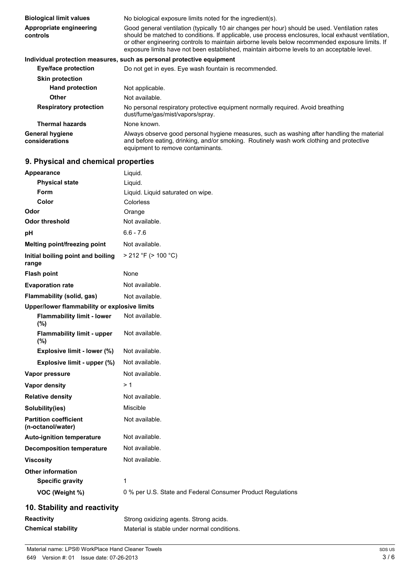| <b>Biological limit values</b>           | No biological exposure limits noted for the ingredient(s).                                                                                                                                                                                                                                                                                                                                             |
|------------------------------------------|--------------------------------------------------------------------------------------------------------------------------------------------------------------------------------------------------------------------------------------------------------------------------------------------------------------------------------------------------------------------------------------------------------|
| Appropriate engineering<br>controls      | Good general ventilation (typically 10 air changes per hour) should be used. Ventilation rates<br>should be matched to conditions. If applicable, use process enclosures, local exhaust ventilation,<br>or other engineering controls to maintain airborne levels below recommended exposure limits. If<br>exposure limits have not been established, maintain airborne levels to an acceptable level. |
|                                          | Individual protection measures, such as personal protective equipment                                                                                                                                                                                                                                                                                                                                  |
| Eye/face protection                      | Do not get in eyes. Eye wash fountain is recommended.                                                                                                                                                                                                                                                                                                                                                  |
| <b>Skin protection</b>                   |                                                                                                                                                                                                                                                                                                                                                                                                        |
| <b>Hand protection</b>                   | Not applicable.                                                                                                                                                                                                                                                                                                                                                                                        |
| <b>Other</b>                             | Not available.                                                                                                                                                                                                                                                                                                                                                                                         |
| <b>Respiratory protection</b>            | No personal respiratory protective equipment normally required. Avoid breathing<br>dust/fume/gas/mist/vapors/spray.                                                                                                                                                                                                                                                                                    |
| <b>Thermal hazards</b>                   | None known.                                                                                                                                                                                                                                                                                                                                                                                            |
| <b>General hygiene</b><br>considerations | Always observe good personal hygiene measures, such as washing after handling the material<br>and before eating, drinking, and/or smoking. Routinely wash work clothing and protective<br>equipment to remove contaminants.                                                                                                                                                                            |

## **9. Physical and chemical properties**

| Appearance                                        | Liquid.                                                     |
|---------------------------------------------------|-------------------------------------------------------------|
| <b>Physical state</b>                             | Liquid.                                                     |
| <b>Form</b>                                       | Liquid. Liquid saturated on wipe.                           |
| Color                                             | <b>Colorless</b>                                            |
| Odor                                              | Orange                                                      |
| <b>Odor threshold</b>                             | Not available.                                              |
| pH                                                | $6.6 - 7.6$                                                 |
| Melting point/freezing point                      | Not available.                                              |
| Initial boiling point and boiling<br>range        | $>$ 212 °F ( $>$ 100 °C)                                    |
| <b>Flash point</b>                                | None                                                        |
| <b>Evaporation rate</b>                           | Not available.                                              |
| Flammability (solid, gas)                         | Not available.                                              |
| Upper/lower flammability or explosive limits      |                                                             |
| <b>Flammability limit - lower</b><br>(%)          | Not available.                                              |
| <b>Flammability limit - upper</b><br>(%)          | Not available.                                              |
| Explosive limit - lower (%)                       | Not available.                                              |
| Explosive limit - upper (%)                       | Not available.                                              |
| Vapor pressure                                    | Not available.                                              |
| Vapor density                                     | >1                                                          |
| <b>Relative density</b>                           | Not available.                                              |
| Solubility(ies)                                   | Miscible                                                    |
| <b>Partition coefficient</b><br>(n-octanol/water) | Not available.                                              |
| <b>Auto-ignition temperature</b>                  | Not available.                                              |
| <b>Decomposition temperature</b>                  | Not available.                                              |
| <b>Viscosity</b>                                  | Not available.                                              |
| <b>Other information</b>                          |                                                             |
| <b>Specific gravity</b>                           | 1                                                           |
| VOC (Weight %)                                    | 0 % per U.S. State and Federal Consumer Product Regulations |
| 10. Stability and reactivity                      |                                                             |

## **10. Stability and reactivity**

| <b>Reactivity</b>         | Strong oxidizing agents. Strong acids.      |
|---------------------------|---------------------------------------------|
| <b>Chemical stability</b> | Material is stable under normal conditions. |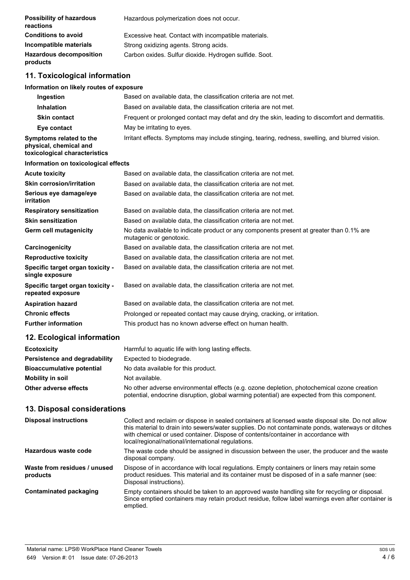| <b>Possibility of hazardous</b><br>reactions                                       | Hazardous polymerization does not occur.                                                                            |
|------------------------------------------------------------------------------------|---------------------------------------------------------------------------------------------------------------------|
| <b>Conditions to avoid</b>                                                         | Excessive heat. Contact with incompatible materials.                                                                |
| <b>Incompatible materials</b>                                                      | Strong oxidizing agents. Strong acids.                                                                              |
| <b>Hazardous decomposition</b><br>products                                         | Carbon oxides. Sulfur dioxide. Hydrogen sulfide. Soot.                                                              |
| 11. Toxicological information                                                      |                                                                                                                     |
| Information on likely routes of exposure                                           |                                                                                                                     |
| Ingestion                                                                          | Based on available data, the classification criteria are not met.                                                   |
| <b>Inhalation</b>                                                                  | Based on available data, the classification criteria are not met.                                                   |
| <b>Skin contact</b>                                                                | Frequent or prolonged contact may defat and dry the skin, leading to discomfort and dermatitis.                     |
| Eye contact                                                                        | May be irritating to eyes.                                                                                          |
| Symptoms related to the<br>physical, chemical and<br>toxicological characteristics | Irritant effects. Symptoms may include stinging, tearing, redness, swelling, and blurred vision.                    |
| Information on toxicological effects                                               |                                                                                                                     |
| <b>Acute toxicity</b>                                                              | Based on available data, the classification criteria are not met.                                                   |
| <b>Skin corrosion/irritation</b>                                                   | Based on available data, the classification criteria are not met.                                                   |
| Serious eye damage/eye<br><b>irritation</b>                                        | Based on available data, the classification criteria are not met.                                                   |
| <b>Respiratory sensitization</b>                                                   | Based on available data, the classification criteria are not met.                                                   |
| <b>Skin sensitization</b>                                                          | Based on available data, the classification criteria are not met.                                                   |
| <b>Germ cell mutagenicity</b>                                                      | No data available to indicate product or any components present at greater than 0.1% are<br>mutagenic or genotoxic. |
| Carcinogenicity                                                                    | Based on available data, the classification criteria are not met.                                                   |
| <b>Reproductive toxicity</b>                                                       | Based on available data, the classification criteria are not met.                                                   |
| Specific target organ toxicity -<br>single exposure                                | Based on available data, the classification criteria are not met.                                                   |
| Specific target organ toxicity -<br>repeated exposure                              | Based on available data, the classification criteria are not met.                                                   |
| <b>Aspiration hazard</b>                                                           | Based on available data, the classification criteria are not met.                                                   |
| <b>Chronic effects</b>                                                             | Prolonged or repeated contact may cause drying, cracking, or irritation.                                            |
| <b>Further information</b>                                                         | This product has no known adverse effect on human health.                                                           |
| 12. Ecological information                                                         |                                                                                                                     |

| <b>Ecotoxicity</b>               | Harmful to aquatic life with long lasting effects.                                                                                                                                         |
|----------------------------------|--------------------------------------------------------------------------------------------------------------------------------------------------------------------------------------------|
| Persistence and degradability    | Expected to biodegrade.                                                                                                                                                                    |
| <b>Bioaccumulative potential</b> | No data available for this product.                                                                                                                                                        |
| Mobility in soil                 | Not available.                                                                                                                                                                             |
| Other adverse effects            | No other adverse environmental effects (e.g. ozone depletion, photochemical ozone creation<br>potential, endocrine disruption, global warming potential) are expected from this component. |

## **13. Disposal considerations**

| <b>Disposal instructions</b>             | Collect and reclaim or dispose in sealed containers at licensed waste disposal site. Do not allow<br>this material to drain into sewers/water supplies. Do not contaminate ponds, waterways or ditches<br>with chemical or used container. Dispose of contents/container in accordance with<br>local/regional/national/international regulations. |
|------------------------------------------|---------------------------------------------------------------------------------------------------------------------------------------------------------------------------------------------------------------------------------------------------------------------------------------------------------------------------------------------------|
| Hazardous waste code                     | The waste code should be assigned in discussion between the user, the producer and the waste<br>disposal company.                                                                                                                                                                                                                                 |
| Waste from residues / unused<br>products | Dispose of in accordance with local regulations. Empty containers or liners may retain some<br>product residues. This material and its container must be disposed of in a safe manner (see:<br>Disposal instructions).                                                                                                                            |
| <b>Contaminated packaging</b>            | Empty containers should be taken to an approved waste handling site for recycling or disposal.<br>Since emptied containers may retain product residue, follow label warnings even after container is<br>emptied.                                                                                                                                  |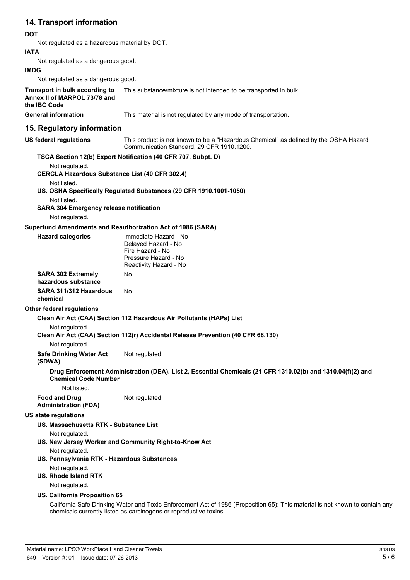## **14. Transport information**

#### **DOT**

Not regulated as a hazardous material by DOT.

#### **IATA**

Not regulated as a dangerous good.

#### **IMDG**

Not regulated as a dangerous good.

#### **Transport in bulk according to Annex II of MARPOL 73/78 and the IBC Code** This substance/mixture is not intended to be transported in bulk.

General information This material is not regulated by any mode of transportation.

## **15. Regulatory information**

**US federal regulations** This product is not known to be a "Hazardous Chemical" as defined by the OSHA Hazard Communication Standard, 29 CFR 1910.1200.

## **TSCA Section 12(b) Export Notification (40 CFR 707, Subpt. D)**

Not regulated. **CERCLA Hazardous Substance List (40 CFR 302.4)**

Not listed. **US. OSHA Specifically Regulated Substances (29 CFR 1910.1001-1050)**

Not listed.

**SARA 304 Emergency release notification**

Not regulated.

**Hazard categories** 

#### **Superfund Amendments and Reauthorization Act of 1986 (SARA)**

| Immediate Hazard - No  |
|------------------------|
| Delayed Hazard - No    |
| Fire Hazard - No       |
| Pressure Hazard - No   |
| Reactivity Hazard - No |
| N٥                     |

| <b>SARA 302 Extremely</b><br>hazardous substance | No |
|--------------------------------------------------|----|
| SARA 311/312 Hazardous<br>chemical               | N٥ |

#### **Other federal regulations**

**Clean Air Act (CAA) Section 112 Hazardous Air Pollutants (HAPs) List**

Not regulated.

**Clean Air Act (CAA) Section 112(r) Accidental Release Prevention (40 CFR 68.130)**

#### Not regulated.

**Safe Drinking Water Act** Not regulated.

#### **(SDWA)**

**Drug Enforcement Administration (DEA). List 2, Essential Chemicals (21 CFR 1310.02(b) and 1310.04(f)(2) and Chemical Code Number**

Not listed.

Not regulated.

#### **Administration (FDA) US state regulations**

**Food and Drug**

**US. Massachusetts RTK - Substance List**

Not regulated.

- **US. New Jersey Worker and Community Right-to-Know Act** Not regulated.
- **US. Pennsylvania RTK Hazardous Substances**
- Not regulated.
- **US. Rhode Island RTK**

Not regulated.

### **US. California Proposition 65**

California Safe Drinking Water and Toxic Enforcement Act of 1986 (Proposition 65): This material is not known to contain any chemicals currently listed as carcinogens or reproductive toxins.